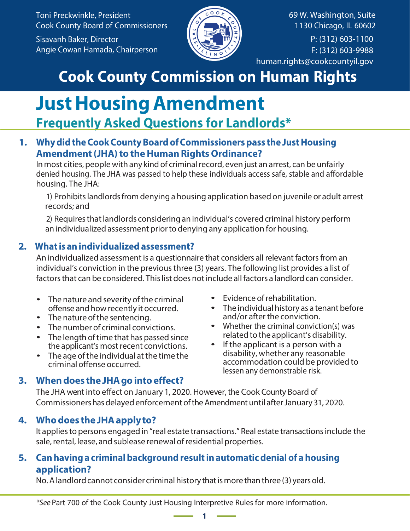Toni Preckwinkle, President Cook County Board of Commissioners Sisavanh Baker, Director Angie Cowan Hamada, Chairperson



69 W. Washington, Suite 1130 Chicago, IL 60602  $\overline{P: (312) 603 - 1100}$ F: (312) 603-9988 hu[man.rights@cookcountyil.gov](mailto:human.rights@cookcountyil.gov)

# **Cook County Commission on Human Rights**

## **Just Housing Amendment Frequently Asked Questions for Landlords\***

## **1. Why did the Cook County Board ofCommissioners pass the Just Housing Amendment (JHA) to the Human Rights Ordinance?**

In most cities, people with any kind of criminal record, even just an arrest, can be unfairly denied housing. The JHA was passed to help these individuals access safe, stable and affordable housing. The JHA:

1) Prohibits landlords from denying a housing application based on juvenile or adult arrest records; and

2) Requires that landlords considering an individual's covered criminal history perform anindividualized assessment prior to denying any application for housing.

## **2. What is anindividualized assessment?**

An individualized assessment is a questionnaire that considers all relevant factors from an individual's conviction in the previous three (3) years. The following list provides a list of factors that can be considered. This list does not include all factors a landlord can consider.

- The nature and severity of the criminal offense and howrecently it occurred.
- The nature of the sentencing.
- The number of criminal convictions.
- The length of time that has passed since the applicant's most recent convictions.
- The age of the individual at the time the criminal offense occurred.
- Evidence ofrehabilitation.
- The individual history as a tenant before and/or after the conviction.
- Whether the criminal conviction(s) was related to the applicant's disability.
- If the applicant is a person with a disability, whether any reasonable accommodation could be provided to lessen any demonstrable risk.

## **3. When does the JHA gointo effect?**

The JHA went into effect on January 1, 2020. However, the Cook County Board of Commissioners has delayed enforcement of the Amendment until after January 31, 2020.

## **4. Who does the JHA apply to?**

It applies to persons engaged in "real estate transactions." Real estate transactionsinclude the sale, rental, lease, and sublease renewal ofresidential properties.

### **5. Can having a criminal background result inautomatic denial of a housing application?**

No. A landlord cannot consider criminal history that is more than three (3) years old.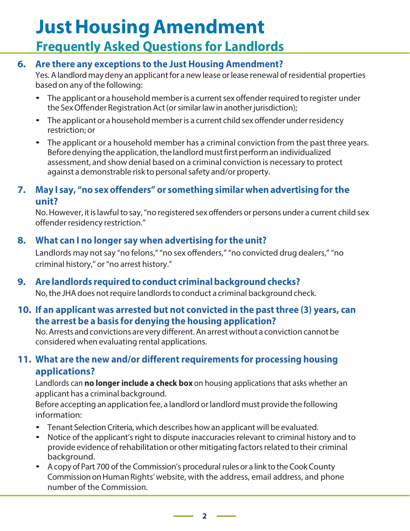## **JustHousing Amendment Frequently Asked Questions for Landlords**

### **6. Are there any exceptions to the Just Housing Amendment?**

Yes. A landlord may deny an applicant for a newlease orlease renewal ofresidential properties based on any of the following:

- The applicant or a household member is a current sex offender required to register under the Sex Offender Registration Act (or similar law in another jurisdiction);
- The applicant or a household member is a current child sex offender under residency restriction; or
- The applicant or a household member has a criminal conviction from the past three years. Before denying the application, the landlord must first perform an individualized assessment, and show denial based on a criminal conviction is necessary to protect against a demonstrable risk to personal safety and/or property.

#### **7. May I say, "no sex offenders" or something similar when advertising for the unit?**

No. However, it is lawful to say, "no registered sex offenders or persons under a current child sex offender residency restriction."

### **8. What can I no longer say when advertising forthe unit?**

Landlords may not say "no felons," "no sex offenders," "no convicted drug dealers," "no criminal history," or"no arrest history."

## **9. Are landlords required toconduct criminal background checks?**

No,the JHA does not require landlords to conduct a criminal background check.

#### **10. If an applicant was arrested but not convicted in the past three (3) years, can the arrest be a basis for denying the housing application?**

No.Arrests and convictions are very different. An arrest without a conviction cannot be considered when evaluating rental applications.

## **11. What are the new and/or different requirements for processing housing applications?**

Landlords can **no longer include a check box** on housing applications that asks whether an applicant has a criminal background.

Before accepting anapplication fee, a landlord orlandlord must provide the following information:

- Tenant Selection Criteria, which describes howan applicant will be evaluated.
- Notice of the applicant's right to dispute inaccuracies relevant to criminal history and to provide evidence ofrehabilitation or other mitigating factors related to their criminal background.
- A copy of Part 700 of the Commission's procedural rules or a link to the Cook County Commission onHuman Rights' website, with the address, email address, and phone number of the Commission.

**2**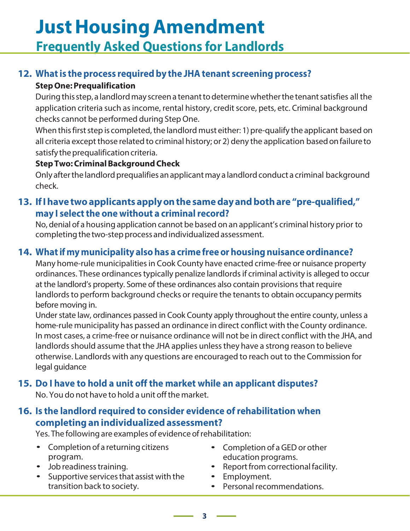# **JustHousing Amendment Frequently Asked Questions for Landlords**

## **12. What is the process required by the JHA tenant screening process?**

#### **Step One: Prequalification**

During this step, a landlord may screen a tenant todetermine whether the tenant satisfies all the application criteria such as income, rental history, credit score, pets, etc. Criminal background checks cannot be performed during StepOne.

When this first step is completed, the landlord must either: 1) pre-qualify the applicant based on all criteria except those related to criminal history; or 2) deny the application based onfailure to satisfy the prequalification criteria.

#### **Step Two: Criminal Background Check**

Only after the landlord prequalifies anapplicant may a landlord conduct a criminal background check.

### **13. IfI have two applicants apply onthe same day and both are "pre-qualified," may I select the one without a criminal record?**

No, denial of a housing application cannot be based on an applicant's criminal history prior to completing the two-step process and individualized assessment.

## **14. What if mymunicipality also has a crime free orhousing nuisance ordinance?**

Many home-rule municipalities in Cook County have enacted crime-free or nuisance property ordinances. These ordinances typically penalize landlords if criminal activity is alleged to occur at the landlord's property. Some of these ordinances also contain provisions that require landlords to perform background checks or require the tenants to obtain occupancy permits before moving in.

Under state law, ordinances passed in Cook County apply throughout the entire county, unless a home-rule municipality has passed an ordinance in direct conflict with the County ordinance. In most cases, a crime-free or nuisance ordinance will not be in direct conflict with the JHA, and landlords should assume that the JHA applies unless they have a strong reason to believe otherwise. Landlords with any questions are encouraged to reach out to the Commission for legal guidance

## **15. Do I have to hold a unit off the market while an applicant disputes?**

No. You do not have to hold a unit offthe market.

#### **16. Is the landlord required to consider evidence ofrehabilitation when completing anindividualized assessment?**

Yes. The following are examples of evidence ofrehabilitation:

- Completion of a returning citizens program.
- Job readiness training.
- Supportive services that assist with the transition back to society.
- Completion of a GEDor other education programs.
- Report from correctional facility.
- Employment.
- Personal recommendations.

**3**